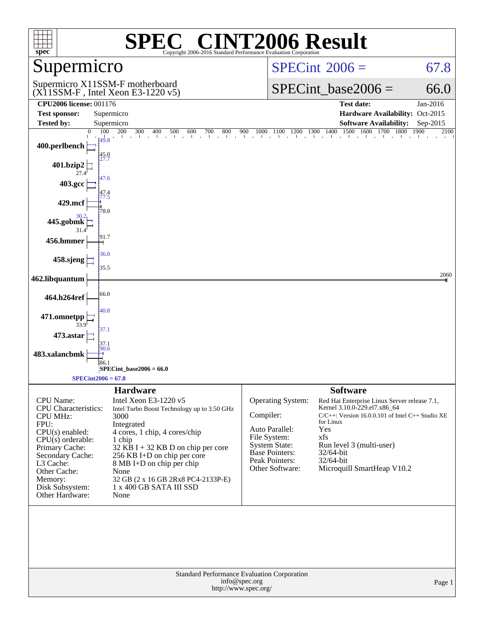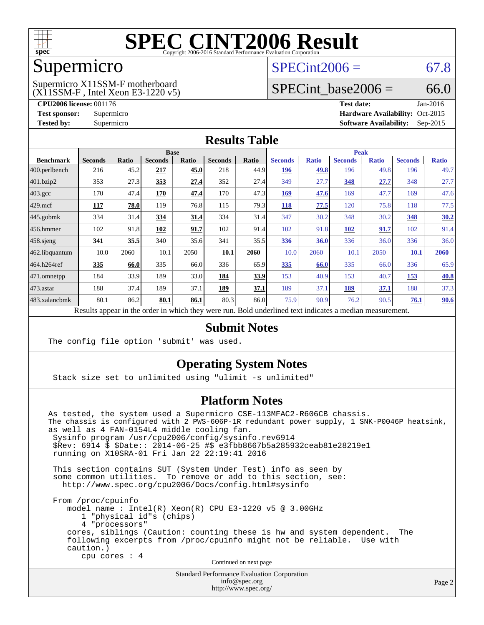

# Supermicro

# $SPECint2006 = 67.8$  $SPECint2006 = 67.8$

(X11SSM-F , Intel Xeon E3-1220 v5) Supermicro X11SSM-F motherboard

SPECint base2006 =  $66.0$ 

**[CPU2006 license:](http://www.spec.org/auto/cpu2006/Docs/result-fields.html#CPU2006license)** 001176 **[Test date:](http://www.spec.org/auto/cpu2006/Docs/result-fields.html#Testdate)** Jan-2016 **[Test sponsor:](http://www.spec.org/auto/cpu2006/Docs/result-fields.html#Testsponsor)** Supermicro Supermicro **[Hardware Availability:](http://www.spec.org/auto/cpu2006/Docs/result-fields.html#HardwareAvailability)** Oct-2015 **[Tested by:](http://www.spec.org/auto/cpu2006/Docs/result-fields.html#Testedby)** Supermicro **Supermicro [Software Availability:](http://www.spec.org/auto/cpu2006/Docs/result-fields.html#SoftwareAvailability)** Sep-2015

#### **[Results Table](http://www.spec.org/auto/cpu2006/Docs/result-fields.html#ResultsTable)**

|                    | <b>Base</b>    |       |                |              |                |       | <b>Peak</b>    |              |                |              |                |              |
|--------------------|----------------|-------|----------------|--------------|----------------|-------|----------------|--------------|----------------|--------------|----------------|--------------|
| <b>Benchmark</b>   | <b>Seconds</b> | Ratio | <b>Seconds</b> | <b>Ratio</b> | <b>Seconds</b> | Ratio | <b>Seconds</b> | <b>Ratio</b> | <b>Seconds</b> | <b>Ratio</b> | <b>Seconds</b> | <b>Ratio</b> |
| 400.perlbench      | 216            | 45.2  | 217            | 45.0         | 218            | 44.9  | 196            | 49.8         | 196            | 49.8         | 196            | 49.7         |
| 401.bzip2          | 353            | 27.3  | 353            | 27.4         | 352            | 27.4  | 349            | 27.7         | 348            | 27.7         | 348            | 27.7         |
| $403.\mathrm{gcc}$ | 170            | 47.4  | 170            | 47.4         | 170            | 47.3  | 169            | 47.6         | 169            | 47.7         | 169            | 47.6         |
| $429$ .mcf         | 117            | 78.0  | 119            | 76.8         | 115            | 79.3  | 118            | 77.5         | 120            | 75.8         | 118            | 77.5         |
| $445$ .gobmk       | 334            | 31.4  | 334            | 31.4         | 334            | 31.4  | 347            | 30.2         | 348            | 30.2         | 348            | 30.2         |
| $456.$ hmmer       | 102            | 91.8  | 102            | 91.7         | 102            | 91.4  | 102            | 91.8         | <b>102</b>     | 91.7         | 102            | 91.4         |
| $458$ .sjeng       | <u>341</u>     | 35.5  | 340            | 35.6         | 341            | 35.5  | <b>336</b>     | 36.0         | 336            | 36.0         | 336            | 36.0         |
| 462.libquantum     | 10.0           | 2060  | 10.1           | 2050         | 10.1           | 2060  | 10.0           | 2060         | 10.1           | 2050         | 10.1           | 2060         |
| 464.h264ref        | 335            | 66.0  | 335            | 66.0         | 336            | 65.9  | 335            | 66.0         | 335            | 66.0         | 336            | 65.9         |
| 471.omnetpp        | 184            | 33.9  | 189            | 33.0         | 184            | 33.9  | 153            | 40.9         | 153            | 40.7         | 153            | 40.8         |
| $473$ . astar      | 188            | 37.4  | 189            | 37.1         | 189            | 37.1  | 189            | 37.1         | <u>189</u>     | 37.1         | 188            | 37.3         |
| 483.xalancbmk      | 80.1           | 86.2  | 80.1           | 86.1         | 80.3           | 86.0  | 75.9           | 90.9         | 76.2           | 90.5         | 76.1           | 90.6         |

Results appear in the [order in which they were run.](http://www.spec.org/auto/cpu2006/Docs/result-fields.html#RunOrder) Bold underlined text [indicates a median measurement.](http://www.spec.org/auto/cpu2006/Docs/result-fields.html#Median)

### **[Submit Notes](http://www.spec.org/auto/cpu2006/Docs/result-fields.html#SubmitNotes)**

The config file option 'submit' was used.

### **[Operating System Notes](http://www.spec.org/auto/cpu2006/Docs/result-fields.html#OperatingSystemNotes)**

Stack size set to unlimited using "ulimit -s unlimited"

### **[Platform Notes](http://www.spec.org/auto/cpu2006/Docs/result-fields.html#PlatformNotes)**

As tested, the system used a Supermicro CSE-113MFAC2-R606CB chassis. The chassis is configured with 2 PWS-606P-1R redundant power supply, 1 SNK-P0046P heatsink, as well as 4 FAN-0154L4 middle cooling fan. Sysinfo program /usr/cpu2006/config/sysinfo.rev6914 \$Rev: 6914 \$ \$Date:: 2014-06-25 #\$ e3fbb8667b5a285932ceab81e28219e1 running on X10SRA-01 Fri Jan 22 22:19:41 2016 This section contains SUT (System Under Test) info as seen by some common utilities. To remove or add to this section, see: <http://www.spec.org/cpu2006/Docs/config.html#sysinfo> From /proc/cpuinfo model name : Intel(R) Xeon(R) CPU E3-1220 v5 @ 3.00GHz 1 "physical id"s (chips) 4 "processors" cores, siblings (Caution: counting these is hw and system dependent. The following excerpts from /proc/cpuinfo might not be reliable. Use with caution.) cpu cores : 4

Continued on next page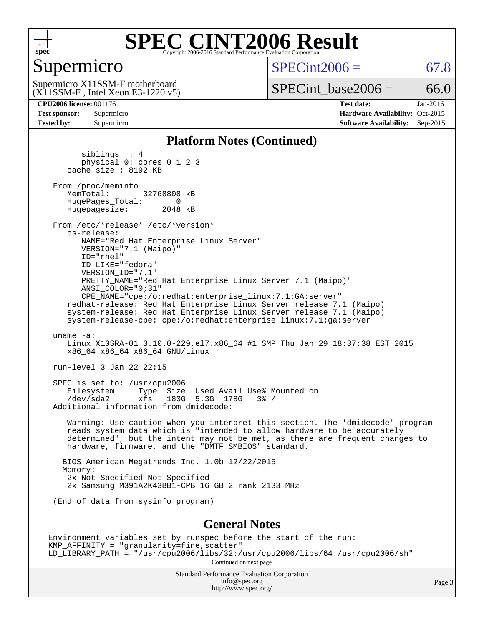

# Supermicro

 $SPECint2006 = 67.8$  $SPECint2006 = 67.8$ 

(X11SSM-F , Intel Xeon E3-1220 v5) Supermicro X11SSM-F motherboard

 $SPECTnt\_base2006 = 66.0$ 

**[Tested by:](http://www.spec.org/auto/cpu2006/Docs/result-fields.html#Testedby)** Supermicro **[Software Availability:](http://www.spec.org/auto/cpu2006/Docs/result-fields.html#SoftwareAvailability)** Sep-2015

**[CPU2006 license:](http://www.spec.org/auto/cpu2006/Docs/result-fields.html#CPU2006license)** 001176 **[Test date:](http://www.spec.org/auto/cpu2006/Docs/result-fields.html#Testdate)** Jan-2016 **[Test sponsor:](http://www.spec.org/auto/cpu2006/Docs/result-fields.html#Testsponsor)** Supermicro Supermicro **[Hardware Availability:](http://www.spec.org/auto/cpu2006/Docs/result-fields.html#HardwareAvailability)** Oct-2015

#### **[Platform Notes \(Continued\)](http://www.spec.org/auto/cpu2006/Docs/result-fields.html#PlatformNotes)**

 siblings : 4 physical 0: cores 0 1 2 3 cache size : 8192 KB From /proc/meminfo<br>MemTotal: 32768808 kB HugePages\_Total: 0<br>Hugepagesize: 2048 kB Hugepagesize: From /etc/\*release\* /etc/\*version\* os-release: NAME="Red Hat Enterprise Linux Server" VERSION="7.1 (Maipo)" ID="rhel" ID\_LIKE="fedora" VERSION\_ID="7.1" PRETTY\_NAME="Red Hat Enterprise Linux Server 7.1 (Maipo)" ANSI\_COLOR="0;31" CPE\_NAME="cpe:/o:redhat:enterprise\_linux:7.1:GA:server" redhat-release: Red Hat Enterprise Linux Server release 7.1 (Maipo) system-release: Red Hat Enterprise Linux Server release 7.1 (Maipo) system-release-cpe: cpe:/o:redhat:enterprise\_linux:7.1:ga:server uname -a: Linux X10SRA-01 3.10.0-229.el7.x86\_64 #1 SMP Thu Jan 29 18:37:38 EST 2015 x86\_64 x86\_64 x86\_64 GNU/Linux run-level 3 Jan 22 22:15 SPEC is set to: /usr/cpu2006 Filesystem Type Size Used Avail Use% Mounted on<br>  $\frac{1}{10}$  The Vertex 1830 530 1780 3% /  $xfs$  183G 5.3G 178G 3% / Additional information from dmidecode: Warning: Use caution when you interpret this section. The 'dmidecode' program reads system data which is "intended to allow hardware to be accurately determined", but the intent may not be met, as there are frequent changes to hardware, firmware, and the "DMTF SMBIOS" standard. BIOS American Megatrends Inc. 1.0b 12/22/2015 Memory: 2x Not Specified Not Specified 2x Samsung M391A2K43BB1-CPB 16 GB 2 rank 2133 MHz (End of data from sysinfo program) **[General Notes](http://www.spec.org/auto/cpu2006/Docs/result-fields.html#GeneralNotes)** Environment variables set by runspec before the start of the run: KMP\_AFFINITY = "granularity=fine,scatter"

LD\_LIBRARY\_PATH = "/usr/cpu2006/libs/32:/usr/cpu2006/libs/64:/usr/cpu2006/sh" Continued on next page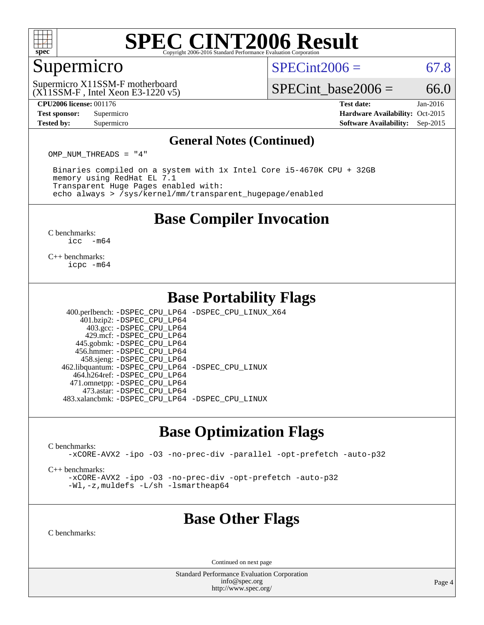

### Supermicro

 $SPECint2006 = 67.8$  $SPECint2006 = 67.8$ 

(X11SSM-F , Intel Xeon E3-1220 v5) Supermicro X11SSM-F motherboard

SPECint base2006 =  $66.0$ 

**[CPU2006 license:](http://www.spec.org/auto/cpu2006/Docs/result-fields.html#CPU2006license)** 001176 **[Test date:](http://www.spec.org/auto/cpu2006/Docs/result-fields.html#Testdate)** Jan-2016 **[Test sponsor:](http://www.spec.org/auto/cpu2006/Docs/result-fields.html#Testsponsor)** Supermicro Supermicro **[Hardware Availability:](http://www.spec.org/auto/cpu2006/Docs/result-fields.html#HardwareAvailability)** Oct-2015 **[Tested by:](http://www.spec.org/auto/cpu2006/Docs/result-fields.html#Testedby)** Supermicro **Supermicro [Software Availability:](http://www.spec.org/auto/cpu2006/Docs/result-fields.html#SoftwareAvailability)** Sep-2015

#### **[General Notes \(Continued\)](http://www.spec.org/auto/cpu2006/Docs/result-fields.html#GeneralNotes)**

OMP NUM THREADS = "4"

 Binaries compiled on a system with 1x Intel Core i5-4670K CPU + 32GB memory using RedHat EL 7.1 Transparent Huge Pages enabled with: echo always > /sys/kernel/mm/transparent\_hugepage/enabled

## **[Base Compiler Invocation](http://www.spec.org/auto/cpu2006/Docs/result-fields.html#BaseCompilerInvocation)**

[C benchmarks](http://www.spec.org/auto/cpu2006/Docs/result-fields.html#Cbenchmarks): [icc -m64](http://www.spec.org/cpu2006/results/res2016q1/cpu2006-20160125-38775.flags.html#user_CCbase_intel_icc_64bit_f346026e86af2a669e726fe758c88044)

[C++ benchmarks:](http://www.spec.org/auto/cpu2006/Docs/result-fields.html#CXXbenchmarks) [icpc -m64](http://www.spec.org/cpu2006/results/res2016q1/cpu2006-20160125-38775.flags.html#user_CXXbase_intel_icpc_64bit_fc66a5337ce925472a5c54ad6a0de310)

# **[Base Portability Flags](http://www.spec.org/auto/cpu2006/Docs/result-fields.html#BasePortabilityFlags)**

 400.perlbench: [-DSPEC\\_CPU\\_LP64](http://www.spec.org/cpu2006/results/res2016q1/cpu2006-20160125-38775.flags.html#b400.perlbench_basePORTABILITY_DSPEC_CPU_LP64) [-DSPEC\\_CPU\\_LINUX\\_X64](http://www.spec.org/cpu2006/results/res2016q1/cpu2006-20160125-38775.flags.html#b400.perlbench_baseCPORTABILITY_DSPEC_CPU_LINUX_X64) 401.bzip2: [-DSPEC\\_CPU\\_LP64](http://www.spec.org/cpu2006/results/res2016q1/cpu2006-20160125-38775.flags.html#suite_basePORTABILITY401_bzip2_DSPEC_CPU_LP64) 403.gcc: [-DSPEC\\_CPU\\_LP64](http://www.spec.org/cpu2006/results/res2016q1/cpu2006-20160125-38775.flags.html#suite_basePORTABILITY403_gcc_DSPEC_CPU_LP64) 429.mcf: [-DSPEC\\_CPU\\_LP64](http://www.spec.org/cpu2006/results/res2016q1/cpu2006-20160125-38775.flags.html#suite_basePORTABILITY429_mcf_DSPEC_CPU_LP64) 445.gobmk: [-DSPEC\\_CPU\\_LP64](http://www.spec.org/cpu2006/results/res2016q1/cpu2006-20160125-38775.flags.html#suite_basePORTABILITY445_gobmk_DSPEC_CPU_LP64) 456.hmmer: [-DSPEC\\_CPU\\_LP64](http://www.spec.org/cpu2006/results/res2016q1/cpu2006-20160125-38775.flags.html#suite_basePORTABILITY456_hmmer_DSPEC_CPU_LP64) 458.sjeng: [-DSPEC\\_CPU\\_LP64](http://www.spec.org/cpu2006/results/res2016q1/cpu2006-20160125-38775.flags.html#suite_basePORTABILITY458_sjeng_DSPEC_CPU_LP64) 462.libquantum: [-DSPEC\\_CPU\\_LP64](http://www.spec.org/cpu2006/results/res2016q1/cpu2006-20160125-38775.flags.html#suite_basePORTABILITY462_libquantum_DSPEC_CPU_LP64) [-DSPEC\\_CPU\\_LINUX](http://www.spec.org/cpu2006/results/res2016q1/cpu2006-20160125-38775.flags.html#b462.libquantum_baseCPORTABILITY_DSPEC_CPU_LINUX) 464.h264ref: [-DSPEC\\_CPU\\_LP64](http://www.spec.org/cpu2006/results/res2016q1/cpu2006-20160125-38775.flags.html#suite_basePORTABILITY464_h264ref_DSPEC_CPU_LP64) 471.omnetpp: [-DSPEC\\_CPU\\_LP64](http://www.spec.org/cpu2006/results/res2016q1/cpu2006-20160125-38775.flags.html#suite_basePORTABILITY471_omnetpp_DSPEC_CPU_LP64)

483.xalancbmk: [-DSPEC\\_CPU\\_LP64](http://www.spec.org/cpu2006/results/res2016q1/cpu2006-20160125-38775.flags.html#suite_basePORTABILITY483_xalancbmk_DSPEC_CPU_LP64) [-DSPEC\\_CPU\\_LINUX](http://www.spec.org/cpu2006/results/res2016q1/cpu2006-20160125-38775.flags.html#b483.xalancbmk_baseCXXPORTABILITY_DSPEC_CPU_LINUX)

473.astar: [-DSPEC\\_CPU\\_LP64](http://www.spec.org/cpu2006/results/res2016q1/cpu2006-20160125-38775.flags.html#suite_basePORTABILITY473_astar_DSPEC_CPU_LP64)

# **[Base Optimization Flags](http://www.spec.org/auto/cpu2006/Docs/result-fields.html#BaseOptimizationFlags)**

[C benchmarks](http://www.spec.org/auto/cpu2006/Docs/result-fields.html#Cbenchmarks):

[-xCORE-AVX2](http://www.spec.org/cpu2006/results/res2016q1/cpu2006-20160125-38775.flags.html#user_CCbase_f-xAVX2_5f5fc0cbe2c9f62c816d3e45806c70d7) [-ipo](http://www.spec.org/cpu2006/results/res2016q1/cpu2006-20160125-38775.flags.html#user_CCbase_f-ipo) [-O3](http://www.spec.org/cpu2006/results/res2016q1/cpu2006-20160125-38775.flags.html#user_CCbase_f-O3) [-no-prec-div](http://www.spec.org/cpu2006/results/res2016q1/cpu2006-20160125-38775.flags.html#user_CCbase_f-no-prec-div) [-parallel](http://www.spec.org/cpu2006/results/res2016q1/cpu2006-20160125-38775.flags.html#user_CCbase_f-parallel) [-opt-prefetch](http://www.spec.org/cpu2006/results/res2016q1/cpu2006-20160125-38775.flags.html#user_CCbase_f-opt-prefetch) [-auto-p32](http://www.spec.org/cpu2006/results/res2016q1/cpu2006-20160125-38775.flags.html#user_CCbase_f-auto-p32)

[C++ benchmarks:](http://www.spec.org/auto/cpu2006/Docs/result-fields.html#CXXbenchmarks)

[-xCORE-AVX2](http://www.spec.org/cpu2006/results/res2016q1/cpu2006-20160125-38775.flags.html#user_CXXbase_f-xAVX2_5f5fc0cbe2c9f62c816d3e45806c70d7) [-ipo](http://www.spec.org/cpu2006/results/res2016q1/cpu2006-20160125-38775.flags.html#user_CXXbase_f-ipo) [-O3](http://www.spec.org/cpu2006/results/res2016q1/cpu2006-20160125-38775.flags.html#user_CXXbase_f-O3) [-no-prec-div](http://www.spec.org/cpu2006/results/res2016q1/cpu2006-20160125-38775.flags.html#user_CXXbase_f-no-prec-div) [-opt-prefetch](http://www.spec.org/cpu2006/results/res2016q1/cpu2006-20160125-38775.flags.html#user_CXXbase_f-opt-prefetch) [-auto-p32](http://www.spec.org/cpu2006/results/res2016q1/cpu2006-20160125-38775.flags.html#user_CXXbase_f-auto-p32) [-Wl,-z,muldefs](http://www.spec.org/cpu2006/results/res2016q1/cpu2006-20160125-38775.flags.html#user_CXXbase_link_force_multiple1_74079c344b956b9658436fd1b6dd3a8a) [-L/sh -lsmartheap64](http://www.spec.org/cpu2006/results/res2016q1/cpu2006-20160125-38775.flags.html#user_CXXbase_SmartHeap64_ed4ef857ce90951921efb0d91eb88472)

# **[Base Other Flags](http://www.spec.org/auto/cpu2006/Docs/result-fields.html#BaseOtherFlags)**

[C benchmarks](http://www.spec.org/auto/cpu2006/Docs/result-fields.html#Cbenchmarks):

Continued on next page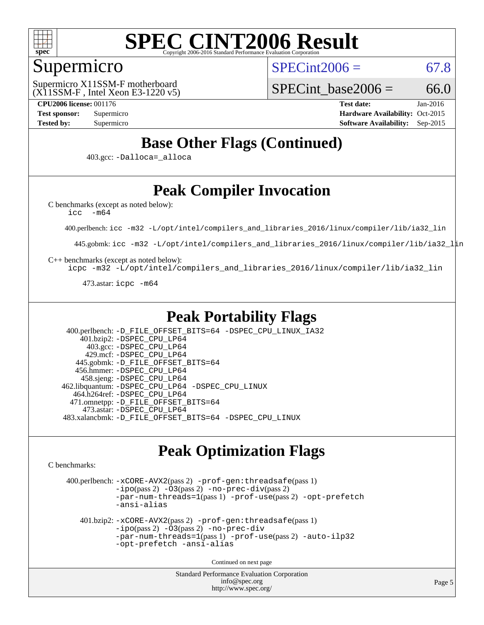

## Supermicro

 $SPECint2006 = 67.8$  $SPECint2006 = 67.8$ 

(X11SSM-F , Intel Xeon E3-1220 v5) Supermicro X11SSM-F motherboard

SPECint base2006 =  $66.0$ 

**[CPU2006 license:](http://www.spec.org/auto/cpu2006/Docs/result-fields.html#CPU2006license)** 001176 **[Test date:](http://www.spec.org/auto/cpu2006/Docs/result-fields.html#Testdate)** Jan-2016 **[Test sponsor:](http://www.spec.org/auto/cpu2006/Docs/result-fields.html#Testsponsor)** Supermicro Supermicro **[Hardware Availability:](http://www.spec.org/auto/cpu2006/Docs/result-fields.html#HardwareAvailability)** Oct-2015 **[Tested by:](http://www.spec.org/auto/cpu2006/Docs/result-fields.html#Testedby)** Supermicro **Supermicro [Software Availability:](http://www.spec.org/auto/cpu2006/Docs/result-fields.html#SoftwareAvailability)** Sep-2015

# **[Base Other Flags \(Continued\)](http://www.spec.org/auto/cpu2006/Docs/result-fields.html#BaseOtherFlags)**

403.gcc: [-Dalloca=\\_alloca](http://www.spec.org/cpu2006/results/res2016q1/cpu2006-20160125-38775.flags.html#b403.gcc_baseEXTRA_CFLAGS_Dalloca_be3056838c12de2578596ca5467af7f3)

# **[Peak Compiler Invocation](http://www.spec.org/auto/cpu2006/Docs/result-fields.html#PeakCompilerInvocation)**

[C benchmarks \(except as noted below\)](http://www.spec.org/auto/cpu2006/Docs/result-fields.html#Cbenchmarksexceptasnotedbelow):

[icc -m64](http://www.spec.org/cpu2006/results/res2016q1/cpu2006-20160125-38775.flags.html#user_CCpeak_intel_icc_64bit_f346026e86af2a669e726fe758c88044)

400.perlbench: [icc -m32 -L/opt/intel/compilers\\_and\\_libraries\\_2016/linux/compiler/lib/ia32\\_lin](http://www.spec.org/cpu2006/results/res2016q1/cpu2006-20160125-38775.flags.html#user_peakCCLD400_perlbench_intel_icc_e10256ba5924b668798078a321b0cb3f)

445.gobmk: [icc -m32 -L/opt/intel/compilers\\_and\\_libraries\\_2016/linux/compiler/lib/ia32\\_lin](http://www.spec.org/cpu2006/results/res2016q1/cpu2006-20160125-38775.flags.html#user_peakCCLD445_gobmk_intel_icc_e10256ba5924b668798078a321b0cb3f)

[C++ benchmarks \(except as noted below\):](http://www.spec.org/auto/cpu2006/Docs/result-fields.html#CXXbenchmarksexceptasnotedbelow)

[icpc -m32 -L/opt/intel/compilers\\_and\\_libraries\\_2016/linux/compiler/lib/ia32\\_lin](http://www.spec.org/cpu2006/results/res2016q1/cpu2006-20160125-38775.flags.html#user_CXXpeak_intel_icpc_b4f50a394bdb4597aa5879c16bc3f5c5)

473.astar: [icpc -m64](http://www.spec.org/cpu2006/results/res2016q1/cpu2006-20160125-38775.flags.html#user_peakCXXLD473_astar_intel_icpc_64bit_fc66a5337ce925472a5c54ad6a0de310)

### **[Peak Portability Flags](http://www.spec.org/auto/cpu2006/Docs/result-fields.html#PeakPortabilityFlags)**

 400.perlbench: [-D\\_FILE\\_OFFSET\\_BITS=64](http://www.spec.org/cpu2006/results/res2016q1/cpu2006-20160125-38775.flags.html#user_peakPORTABILITY400_perlbench_file_offset_bits_64_438cf9856305ebd76870a2c6dc2689ab) [-DSPEC\\_CPU\\_LINUX\\_IA32](http://www.spec.org/cpu2006/results/res2016q1/cpu2006-20160125-38775.flags.html#b400.perlbench_peakCPORTABILITY_DSPEC_CPU_LINUX_IA32) 401.bzip2: [-DSPEC\\_CPU\\_LP64](http://www.spec.org/cpu2006/results/res2016q1/cpu2006-20160125-38775.flags.html#suite_peakPORTABILITY401_bzip2_DSPEC_CPU_LP64) 403.gcc: [-DSPEC\\_CPU\\_LP64](http://www.spec.org/cpu2006/results/res2016q1/cpu2006-20160125-38775.flags.html#suite_peakPORTABILITY403_gcc_DSPEC_CPU_LP64) 429.mcf: [-DSPEC\\_CPU\\_LP64](http://www.spec.org/cpu2006/results/res2016q1/cpu2006-20160125-38775.flags.html#suite_peakPORTABILITY429_mcf_DSPEC_CPU_LP64) 445.gobmk: [-D\\_FILE\\_OFFSET\\_BITS=64](http://www.spec.org/cpu2006/results/res2016q1/cpu2006-20160125-38775.flags.html#user_peakPORTABILITY445_gobmk_file_offset_bits_64_438cf9856305ebd76870a2c6dc2689ab) 456.hmmer: [-DSPEC\\_CPU\\_LP64](http://www.spec.org/cpu2006/results/res2016q1/cpu2006-20160125-38775.flags.html#suite_peakPORTABILITY456_hmmer_DSPEC_CPU_LP64) 458.sjeng: [-DSPEC\\_CPU\\_LP64](http://www.spec.org/cpu2006/results/res2016q1/cpu2006-20160125-38775.flags.html#suite_peakPORTABILITY458_sjeng_DSPEC_CPU_LP64) 462.libquantum: [-DSPEC\\_CPU\\_LP64](http://www.spec.org/cpu2006/results/res2016q1/cpu2006-20160125-38775.flags.html#suite_peakPORTABILITY462_libquantum_DSPEC_CPU_LP64) [-DSPEC\\_CPU\\_LINUX](http://www.spec.org/cpu2006/results/res2016q1/cpu2006-20160125-38775.flags.html#b462.libquantum_peakCPORTABILITY_DSPEC_CPU_LINUX) 464.h264ref: [-DSPEC\\_CPU\\_LP64](http://www.spec.org/cpu2006/results/res2016q1/cpu2006-20160125-38775.flags.html#suite_peakPORTABILITY464_h264ref_DSPEC_CPU_LP64) 471.omnetpp: [-D\\_FILE\\_OFFSET\\_BITS=64](http://www.spec.org/cpu2006/results/res2016q1/cpu2006-20160125-38775.flags.html#user_peakPORTABILITY471_omnetpp_file_offset_bits_64_438cf9856305ebd76870a2c6dc2689ab) 473.astar: [-DSPEC\\_CPU\\_LP64](http://www.spec.org/cpu2006/results/res2016q1/cpu2006-20160125-38775.flags.html#suite_peakPORTABILITY473_astar_DSPEC_CPU_LP64) 483.xalancbmk: [-D\\_FILE\\_OFFSET\\_BITS=64](http://www.spec.org/cpu2006/results/res2016q1/cpu2006-20160125-38775.flags.html#user_peakPORTABILITY483_xalancbmk_file_offset_bits_64_438cf9856305ebd76870a2c6dc2689ab) [-DSPEC\\_CPU\\_LINUX](http://www.spec.org/cpu2006/results/res2016q1/cpu2006-20160125-38775.flags.html#b483.xalancbmk_peakCXXPORTABILITY_DSPEC_CPU_LINUX)

# **[Peak Optimization Flags](http://www.spec.org/auto/cpu2006/Docs/result-fields.html#PeakOptimizationFlags)**

[C benchmarks](http://www.spec.org/auto/cpu2006/Docs/result-fields.html#Cbenchmarks):

 400.perlbench: [-xCORE-AVX2](http://www.spec.org/cpu2006/results/res2016q1/cpu2006-20160125-38775.flags.html#user_peakPASS2_CFLAGSPASS2_LDCFLAGS400_perlbench_f-xAVX2_5f5fc0cbe2c9f62c816d3e45806c70d7)(pass 2) [-prof-gen:threadsafe](http://www.spec.org/cpu2006/results/res2016q1/cpu2006-20160125-38775.flags.html#user_peakPASS1_CFLAGSPASS1_LDCFLAGS400_perlbench_prof_gen_21a26eb79f378b550acd7bec9fe4467a)(pass 1)  $-i\text{po}(pass 2) -O3(pass 2) -no-prec-div(pass 2)$  $-i\text{po}(pass 2) -O3(pass 2) -no-prec-div(pass 2)$  $-i\text{po}(pass 2) -O3(pass 2) -no-prec-div(pass 2)$  $-i\text{po}(pass 2) -O3(pass 2) -no-prec-div(pass 2)$  $-i\text{po}(pass 2) -O3(pass 2) -no-prec-div(pass 2)$ [-par-num-threads=1](http://www.spec.org/cpu2006/results/res2016q1/cpu2006-20160125-38775.flags.html#user_peakPASS1_CFLAGSPASS1_LDCFLAGS400_perlbench_par_num_threads_786a6ff141b4e9e90432e998842df6c2)(pass 1) [-prof-use](http://www.spec.org/cpu2006/results/res2016q1/cpu2006-20160125-38775.flags.html#user_peakPASS2_CFLAGSPASS2_LDCFLAGS400_perlbench_prof_use_bccf7792157ff70d64e32fe3e1250b55)(pass 2) [-opt-prefetch](http://www.spec.org/cpu2006/results/res2016q1/cpu2006-20160125-38775.flags.html#user_peakCOPTIMIZE400_perlbench_f-opt-prefetch) [-ansi-alias](http://www.spec.org/cpu2006/results/res2016q1/cpu2006-20160125-38775.flags.html#user_peakCOPTIMIZE400_perlbench_f-ansi-alias) 401.bzip2: [-xCORE-AVX2](http://www.spec.org/cpu2006/results/res2016q1/cpu2006-20160125-38775.flags.html#user_peakPASS2_CFLAGSPASS2_LDCFLAGS401_bzip2_f-xAVX2_5f5fc0cbe2c9f62c816d3e45806c70d7)(pass 2) [-prof-gen:threadsafe](http://www.spec.org/cpu2006/results/res2016q1/cpu2006-20160125-38775.flags.html#user_peakPASS1_CFLAGSPASS1_LDCFLAGS401_bzip2_prof_gen_21a26eb79f378b550acd7bec9fe4467a)(pass 1) [-ipo](http://www.spec.org/cpu2006/results/res2016q1/cpu2006-20160125-38775.flags.html#user_peakPASS2_CFLAGSPASS2_LDCFLAGS401_bzip2_f-ipo)(pass 2) [-O3](http://www.spec.org/cpu2006/results/res2016q1/cpu2006-20160125-38775.flags.html#user_peakPASS2_CFLAGSPASS2_LDCFLAGS401_bzip2_f-O3)(pass 2) [-no-prec-div](http://www.spec.org/cpu2006/results/res2016q1/cpu2006-20160125-38775.flags.html#user_peakCOPTIMIZEPASS2_CFLAGSPASS2_LDCFLAGS401_bzip2_f-no-prec-div) [-par-num-threads=1](http://www.spec.org/cpu2006/results/res2016q1/cpu2006-20160125-38775.flags.html#user_peakPASS1_CFLAGSPASS1_LDCFLAGS401_bzip2_par_num_threads_786a6ff141b4e9e90432e998842df6c2)(pass 1) [-prof-use](http://www.spec.org/cpu2006/results/res2016q1/cpu2006-20160125-38775.flags.html#user_peakPASS2_CFLAGSPASS2_LDCFLAGS401_bzip2_prof_use_bccf7792157ff70d64e32fe3e1250b55)(pass 2) [-auto-ilp32](http://www.spec.org/cpu2006/results/res2016q1/cpu2006-20160125-38775.flags.html#user_peakCOPTIMIZE401_bzip2_f-auto-ilp32) [-opt-prefetch](http://www.spec.org/cpu2006/results/res2016q1/cpu2006-20160125-38775.flags.html#user_peakCOPTIMIZE401_bzip2_f-opt-prefetch) [-ansi-alias](http://www.spec.org/cpu2006/results/res2016q1/cpu2006-20160125-38775.flags.html#user_peakCOPTIMIZE401_bzip2_f-ansi-alias)

Continued on next page

Standard Performance Evaluation Corporation [info@spec.org](mailto:info@spec.org) <http://www.spec.org/>

Page 5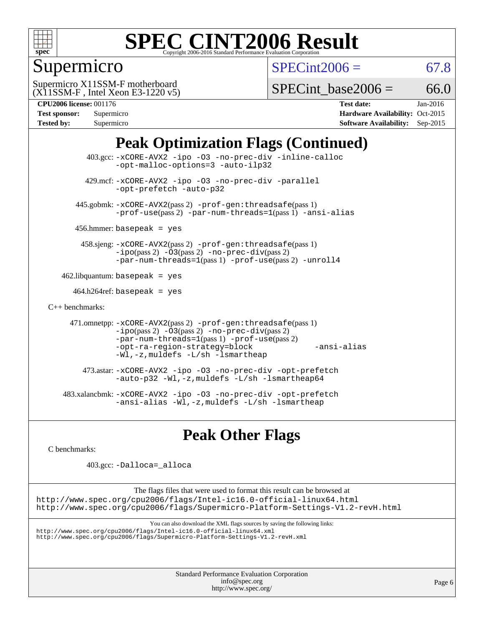

# Supermicro

 $SPECint2006 = 67.8$  $SPECint2006 = 67.8$ 

(X11SSM-F , Intel Xeon E3-1220 v5) Supermicro X11SSM-F motherboard

SPECint base2006 =  $66.0$ 

| <b>Test sponsor:</b> | Supermicro |
|----------------------|------------|
| <b>Tested by:</b>    | Supermicro |

**[CPU2006 license:](http://www.spec.org/auto/cpu2006/Docs/result-fields.html#CPU2006license)** 001176 **[Test date:](http://www.spec.org/auto/cpu2006/Docs/result-fields.html#Testdate)** Jan-2016 **[Hardware Availability:](http://www.spec.org/auto/cpu2006/Docs/result-fields.html#HardwareAvailability)** Oct-2015 **[Software Availability:](http://www.spec.org/auto/cpu2006/Docs/result-fields.html#SoftwareAvailability)** Sep-2015

# **[Peak Optimization Flags \(Continued\)](http://www.spec.org/auto/cpu2006/Docs/result-fields.html#PeakOptimizationFlags)**

```
 403.gcc: -xCORE-AVX2 -ipo -O3 -no-prec-div -inline-calloc
                -opt-malloc-options=3 -auto-ilp32
         429.mcf: -xCORE-AVX2 -ipo -O3 -no-prec-div -parallel
                -opt-prefetch -auto-p32
       445.gobmk: -xCORE-AVX2(pass 2) -prof-gen:threadsafe(pass 1)
                -prof-use(pass 2) -par-num-threads=1(pass 1) -ansi-alias
      456.hmmer: basepeak = yes
        458.sjeng: -xCORE-AVX2(pass 2) -prof-gen:threadsafe(pass 1)
                -i\text{po}(pass 2) -\text{O3}(pass 2)-no-prec-div(pass 2)
                -par-num-threads=1(pass 1) -prof-use(pass 2) -unroll4
   462.libquantum: basepeak = yes
     464.h264ref: basepeak = yes
C++ benchmarks: 
      471.omnetpp: -xCORE-AVX2(pass 2) -prof-gen:threadsafe(pass 1)
                -i\text{po}(pass 2) -\overline{O}3(pass 2) -no-prec\div\overline{div}(pass 2)-par-num-threads=1(pass 1) -prof-use(pass 2)
                -opt-ra-region-strategy=block -ansi-alias
                -Wl,-z,muldefs -L/sh -lsmartheap
         473.astar: -xCORE-AVX2 -ipo -O3 -no-prec-div -opt-prefetch
                -auto-p32 -Wl,-z,muldefs -L/sh -lsmartheap64
    483.xalancbmk: -xCORE-AVX2 -ipo -O3 -no-prec-div -opt-prefetch
                -ansi-alias -Wl,-z,muldefs -L/sh -lsmartheap
```
# **[Peak Other Flags](http://www.spec.org/auto/cpu2006/Docs/result-fields.html#PeakOtherFlags)**

[C benchmarks](http://www.spec.org/auto/cpu2006/Docs/result-fields.html#Cbenchmarks):

403.gcc: [-Dalloca=\\_alloca](http://www.spec.org/cpu2006/results/res2016q1/cpu2006-20160125-38775.flags.html#b403.gcc_peakEXTRA_CFLAGS_Dalloca_be3056838c12de2578596ca5467af7f3)

The flags files that were used to format this result can be browsed at <http://www.spec.org/cpu2006/flags/Intel-ic16.0-official-linux64.html> <http://www.spec.org/cpu2006/flags/Supermicro-Platform-Settings-V1.2-revH.html>

You can also download the XML flags sources by saving the following links:

<http://www.spec.org/cpu2006/flags/Intel-ic16.0-official-linux64.xml> <http://www.spec.org/cpu2006/flags/Supermicro-Platform-Settings-V1.2-revH.xml>